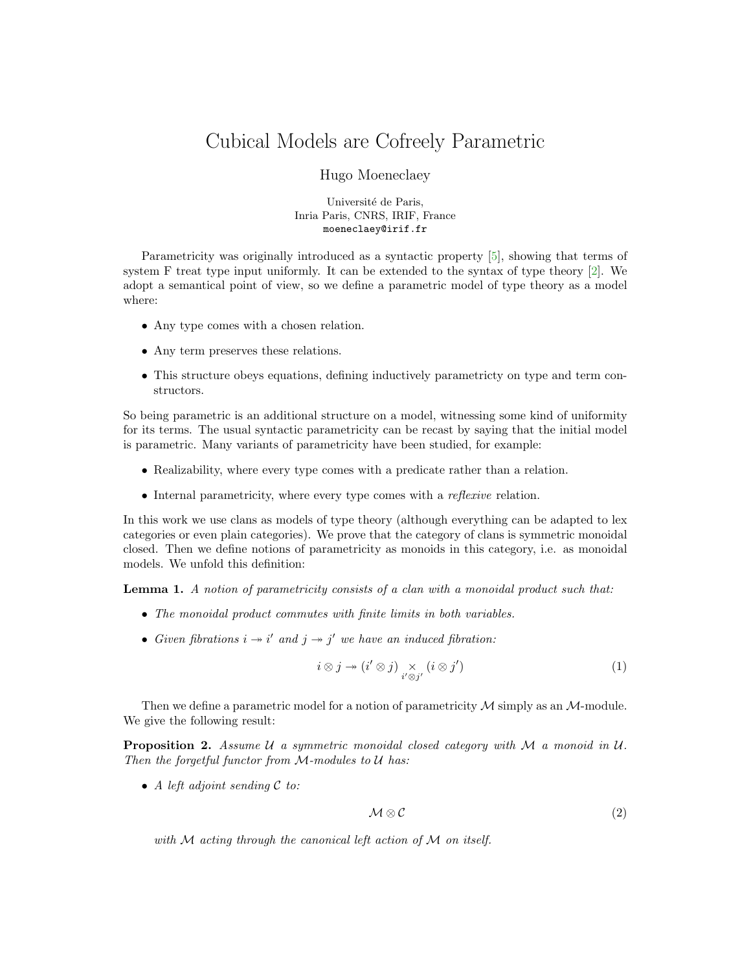## Cubical Models are Cofreely Parametric

## Hugo Moeneclaey

Université de Paris, Inria Paris, CNRS, IRIF, France moeneclaey@irif.fr

Parametricity was originally introduced as a syntactic property [\[5\]](#page-1-0), showing that terms of system F treat type input uniformly. It can be extended to the syntax of type theory [\[2\]](#page-1-1). We adopt a semantical point of view, so we define a parametric model of type theory as a model where:

- Any type comes with a chosen relation.
- Any term preserves these relations.
- This structure obeys equations, defining inductively parametricty on type and term constructors.

So being parametric is an additional structure on a model, witnessing some kind of uniformity for its terms. The usual syntactic parametricity can be recast by saying that the initial model is parametric. Many variants of parametricity have been studied, for example:

- Realizability, where every type comes with a predicate rather than a relation.
- Internal parametricity, where every type comes with a *reflexive* relation.

In this work we use clans as models of type theory (although everything can be adapted to lex categories or even plain categories). We prove that the category of clans is symmetric monoidal closed. Then we define notions of parametricity as monoids in this category, i.e. as monoidal models. We unfold this definition:

Lemma 1. A notion of parametricity consists of a clan with a monoidal product such that:

- The monoidal product commutes with finite limits in both variables.
- Given fibrations  $i \rightarrow i'$  and  $j \rightarrow j'$  we have an induced fibration:

$$
i \otimes j \to (i' \otimes j) \underset{i' \otimes j'}{\times} (i \otimes j')
$$
 (1)

Then we define a parametric model for a notion of parametricity  $\mathcal M$  simply as an  $\mathcal M$ -module. We give the following result:

**Proposition 2.** Assume  $U$  a symmetric monoidal closed category with  $M$  a monoid in  $U$ . Then the forgetful functor from M-modules to U has:

• A left adjoint sending  $\mathcal C$  to:

$$
\mathcal{M} \otimes \mathcal{C} \tag{2}
$$

with  $M$  acting through the canonical left action of  $M$  on itself.